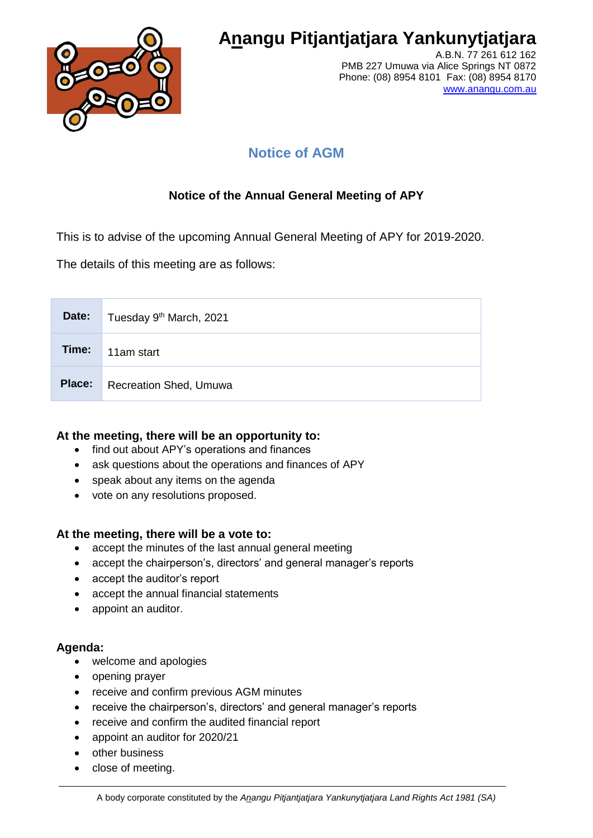

# **Anangu Pitjantjatjara Yankunytjatjara**

A.B.N. 77 261 612 162 PMB 227 Umuwa via Alice Springs NT 0872 Phone: (08) 8954 8101 Fax: (08) 8954 8170 [www.anangu.com.au](http://www.anangu.com.au/)

## **Notice of AGM**

### **Notice of the Annual General Meeting of APY**

This is to advise of the upcoming Annual General Meeting of APY for 2019-2020.

The details of this meeting are as follows:

| Date:  | Tuesday 9 <sup>th</sup> March, 2021 |
|--------|-------------------------------------|
| Time:  | 11am start                          |
| Place: | <b>Recreation Shed, Umuwa</b>       |

#### **At the meeting, there will be an opportunity to:**

- find out about APY's operations and finances
- ask questions about the operations and finances of APY
- speak about any items on the agenda
- vote on any resolutions proposed.

#### **At the meeting, there will be a vote to:**

- accept the minutes of the last annual general meeting
- accept the chairperson's, directors' and general manager's reports
- accept the auditor's report
- accept the annual financial statements
- appoint an auditor.

#### **Agenda:**

- welcome and apologies
- opening prayer
- receive and confirm previous AGM minutes
- receive the chairperson's, directors' and general manager's reports
- receive and confirm the audited financial report
- appoint an auditor for 2020/21
- other business
- close of meeting.